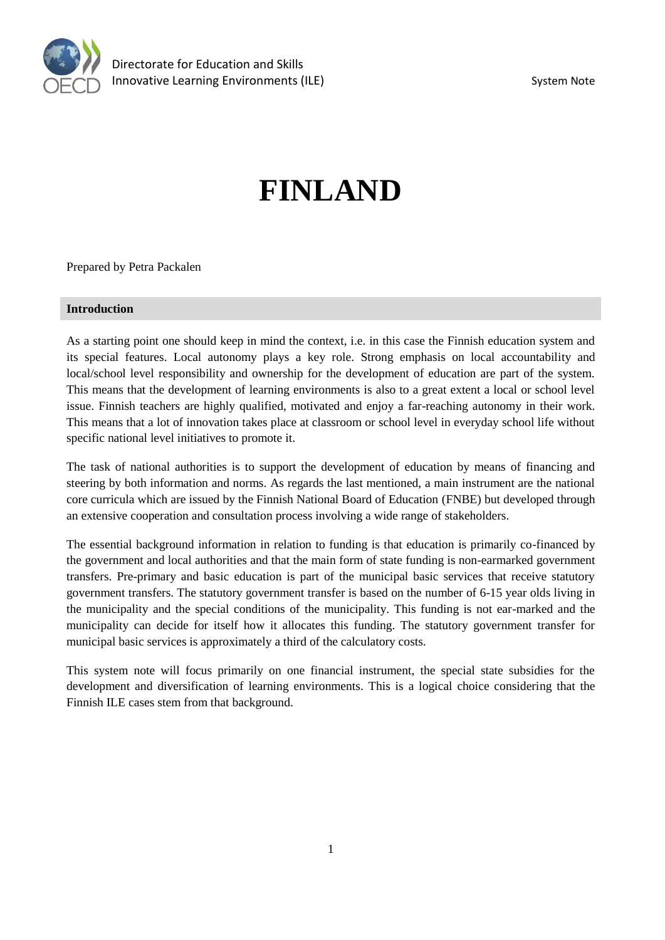

# **FINLAND**

Prepared by Petra Packalen

#### **Introduction**

As a starting point one should keep in mind the context, i.e. in this case the Finnish education system and its special features. Local autonomy plays a key role. Strong emphasis on local accountability and local/school level responsibility and ownership for the development of education are part of the system. This means that the development of learning environments is also to a great extent a local or school level issue. Finnish teachers are highly qualified, motivated and enjoy a far-reaching autonomy in their work. This means that a lot of innovation takes place at classroom or school level in everyday school life without specific national level initiatives to promote it.

The task of national authorities is to support the development of education by means of financing and steering by both information and norms. As regards the last mentioned, a main instrument are the national core curricula which are issued by the Finnish National Board of Education (FNBE) but developed through an extensive cooperation and consultation process involving a wide range of stakeholders.

The essential background information in relation to funding is that education is primarily co-financed by the government and local authorities and that the main form of state funding is non-earmarked government transfers. Pre-primary and basic education is part of the municipal basic services that receive statutory government transfers. The statutory government transfer is based on the number of 6-15 year olds living in the municipality and the special conditions of the municipality. This funding is not ear-marked and the municipality can decide for itself how it allocates this funding. The statutory government transfer for municipal basic services is approximately a third of the calculatory costs.

This system note will focus primarily on one financial instrument, the special state subsidies for the development and diversification of learning environments. This is a logical choice considering that the Finnish ILE cases stem from that background.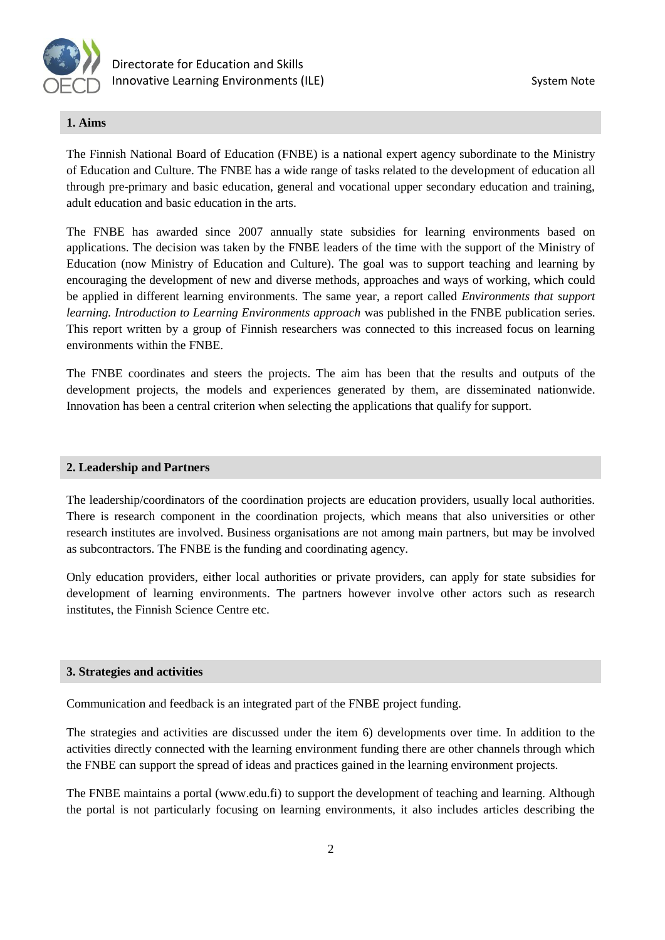

## **1. Aims**

The Finnish National Board of Education (FNBE) is a national expert agency subordinate to the Ministry of Education and Culture. The FNBE has a wide range of tasks related to the development of education all through pre-primary and basic education, general and vocational upper secondary education and training, adult education and basic education in the arts.

The FNBE has awarded since 2007 annually state subsidies for learning environments based on applications. The decision was taken by the FNBE leaders of the time with the support of the Ministry of Education (now Ministry of Education and Culture). The goal was to support teaching and learning by encouraging the development of new and diverse methods, approaches and ways of working, which could be applied in different learning environments. The same year, a report called *Environments that support learning. Introduction to Learning Environments approach* was published in the FNBE publication series. This report written by a group of Finnish researchers was connected to this increased focus on learning environments within the FNBE.

The FNBE coordinates and steers the projects. The aim has been that the results and outputs of the development projects, the models and experiences generated by them, are disseminated nationwide. Innovation has been a central criterion when selecting the applications that qualify for support.

#### **2. Leadership and Partners**

The leadership/coordinators of the coordination projects are education providers, usually local authorities. There is research component in the coordination projects, which means that also universities or other research institutes are involved. Business organisations are not among main partners, but may be involved as subcontractors. The FNBE is the funding and coordinating agency.

Only education providers, either local authorities or private providers, can apply for state subsidies for development of learning environments. The partners however involve other actors such as research institutes, the Finnish Science Centre etc.

### **3. Strategies and activities**

Communication and feedback is an integrated part of the FNBE project funding.

The strategies and activities are discussed under the item 6) developments over time. In addition to the activities directly connected with the learning environment funding there are other channels through which the FNBE can support the spread of ideas and practices gained in the learning environment projects.

The FNBE maintains a portal (www.edu.fi) to support the development of teaching and learning. Although the portal is not particularly focusing on learning environments, it also includes articles describing the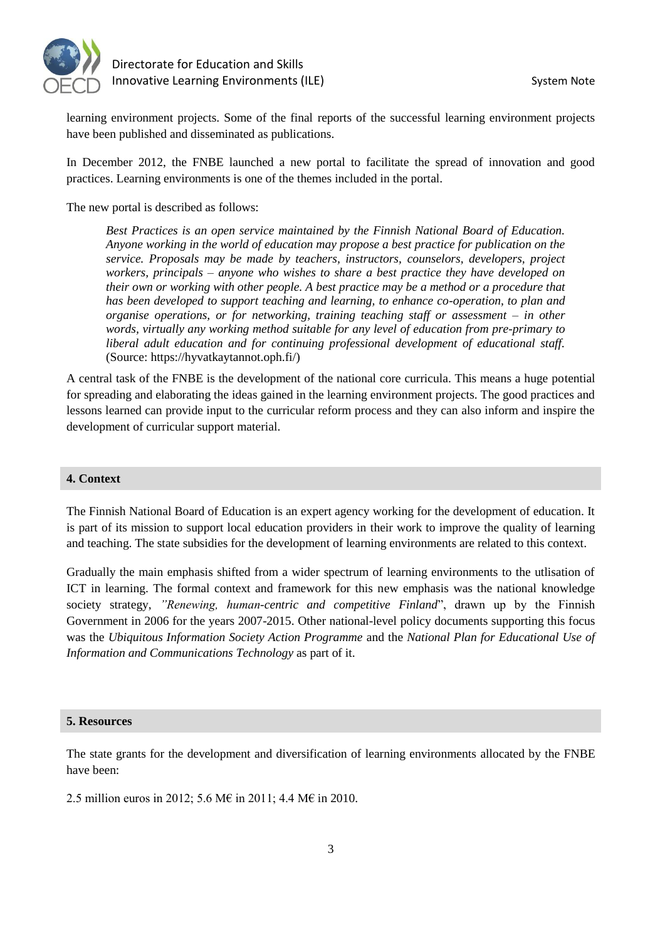



learning environment projects. Some of the final reports of the successful learning environment projects have been published and disseminated as publications.

In December 2012, the FNBE launched a new portal to facilitate the spread of innovation and good practices. Learning environments is one of the themes included in the portal.

The new portal is described as follows:

*Best Practices is an open service maintained by the Finnish National Board of Education. Anyone working in the world of education may propose a best practice for publication on the service. Proposals may be made by teachers, instructors, counselors, developers, project workers, principals – anyone who wishes to share a best practice they have developed on their own or working with other people. A best practice may be a method or a procedure that has been developed to support teaching and learning, to enhance co-operation, to plan and organise operations, or for networking, training teaching staff or assessment – in other words, virtually any working method suitable for any level of education from pre-primary to liberal adult education and for continuing professional development of educational staff.* (Source: https://hyvatkaytannot.oph.fi/)

A central task of the FNBE is the development of the national core curricula. This means a huge potential for spreading and elaborating the ideas gained in the learning environment projects. The good practices and lessons learned can provide input to the curricular reform process and they can also inform and inspire the development of curricular support material.

#### **4. Context**

The Finnish National Board of Education is an expert agency working for the development of education. It is part of its mission to support local education providers in their work to improve the quality of learning and teaching. The state subsidies for the development of learning environments are related to this context.

Gradually the main emphasis shifted from a wider spectrum of learning environments to the utlisation of ICT in learning. The formal context and framework for this new emphasis was the national knowledge society strategy, *"Renewing, human-centric and competitive Finland*", drawn up by the Finnish Government in 2006 for the years 2007-2015. Other national-level policy documents supporting this focus was the *Ubiquitous Information Society Action Programme* and the *National Plan for Educational Use of Information and Communications Technology* as part of it.

#### **5. Resources**

The state grants for the development and diversification of learning environments allocated by the FNBE have been:

2.5 million euros in 2012; 5.6 M€ in 2011; 4.4 M€ in 2010.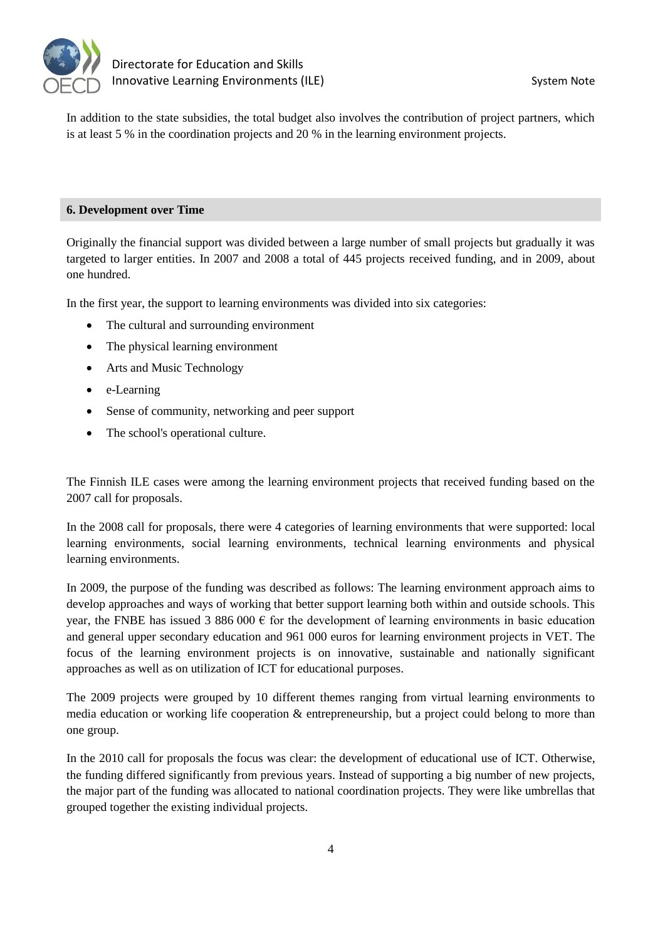

In addition to the state subsidies, the total budget also involves the contribution of project partners, which is at least 5 % in the coordination projects and 20 % in the learning environment projects.

# **6. Development over Time**

Originally the financial support was divided between a large number of small projects but gradually it was targeted to larger entities. In 2007 and 2008 a total of 445 projects received funding, and in 2009, about one hundred.

In the first year, the support to learning environments was divided into six categories:

- The cultural and surrounding environment
- The physical learning environment
- Arts and Music Technology
- e-Learning
- Sense of community, networking and peer support
- The school's operational culture.

The Finnish ILE cases were among the learning environment projects that received funding based on the 2007 call for proposals.

In the 2008 call for proposals, there were 4 categories of learning environments that were supported: local learning environments, social learning environments, technical learning environments and physical learning environments.

In 2009, the purpose of the funding was described as follows: The learning environment approach aims to develop approaches and ways of working that better support learning both within and outside schools. This year, the FNBE has issued 3 886 000  $\epsilon$  for the development of learning environments in basic education and general upper secondary education and 961 000 euros for learning environment projects in VET. The focus of the learning environment projects is on innovative, sustainable and nationally significant approaches as well as on utilization of ICT for educational purposes.

The 2009 projects were grouped by 10 different themes ranging from virtual learning environments to media education or working life cooperation & entrepreneurship, but a project could belong to more than one group.

In the 2010 call for proposals the focus was clear: the development of educational use of ICT. Otherwise, the funding differed significantly from previous years. Instead of supporting a big number of new projects, the major part of the funding was allocated to national coordination projects. They were like umbrellas that grouped together the existing individual projects.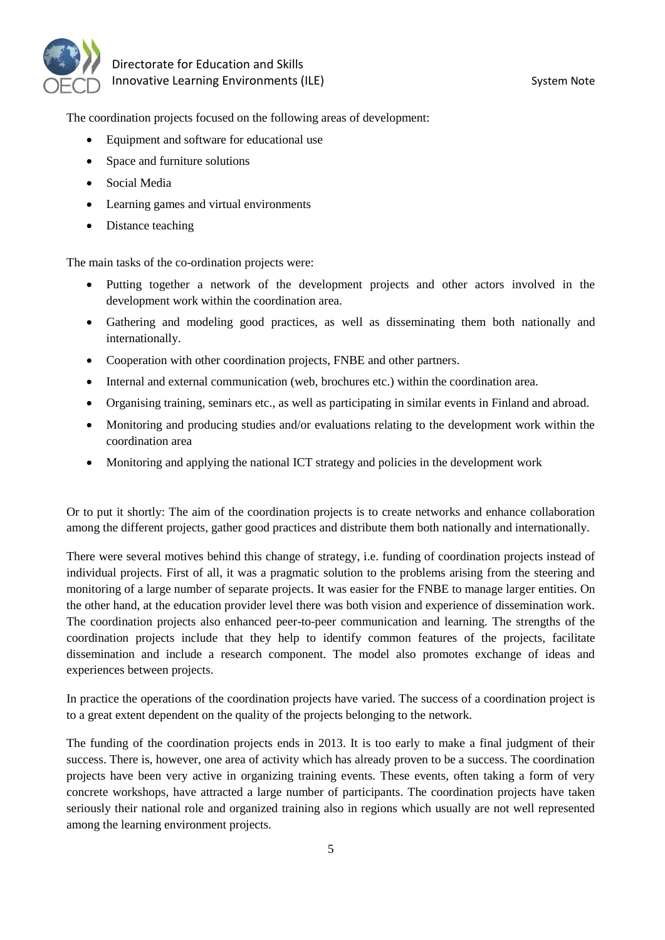

The coordination projects focused on the following areas of development:

- Equipment and software for educational use
- Space and furniture solutions
- Social Media
- Learning games and virtual environments
- Distance teaching

The main tasks of the co-ordination projects were:

- Putting together a network of the development projects and other actors involved in the development work within the coordination area.
- Gathering and modeling good practices, as well as disseminating them both nationally and internationally.
- Cooperation with other coordination projects, FNBE and other partners.
- Internal and external communication (web, brochures etc.) within the coordination area.
- Organising training, seminars etc., as well as participating in similar events in Finland and abroad.
- Monitoring and producing studies and/or evaluations relating to the development work within the coordination area
- Monitoring and applying the national ICT strategy and policies in the development work

Or to put it shortly: The aim of the coordination projects is to create networks and enhance collaboration among the different projects, gather good practices and distribute them both nationally and internationally.

There were several motives behind this change of strategy, i.e. funding of coordination projects instead of individual projects. First of all, it was a pragmatic solution to the problems arising from the steering and monitoring of a large number of separate projects. It was easier for the FNBE to manage larger entities. On the other hand, at the education provider level there was both vision and experience of dissemination work. The coordination projects also enhanced peer-to-peer communication and learning. The strengths of the coordination projects include that they help to identify common features of the projects, facilitate dissemination and include a research component. The model also promotes exchange of ideas and experiences between projects.

In practice the operations of the coordination projects have varied. The success of a coordination project is to a great extent dependent on the quality of the projects belonging to the network.

The funding of the coordination projects ends in 2013. It is too early to make a final judgment of their success. There is, however, one area of activity which has already proven to be a success. The coordination projects have been very active in organizing training events. These events, often taking a form of very concrete workshops, have attracted a large number of participants. The coordination projects have taken seriously their national role and organized training also in regions which usually are not well represented among the learning environment projects.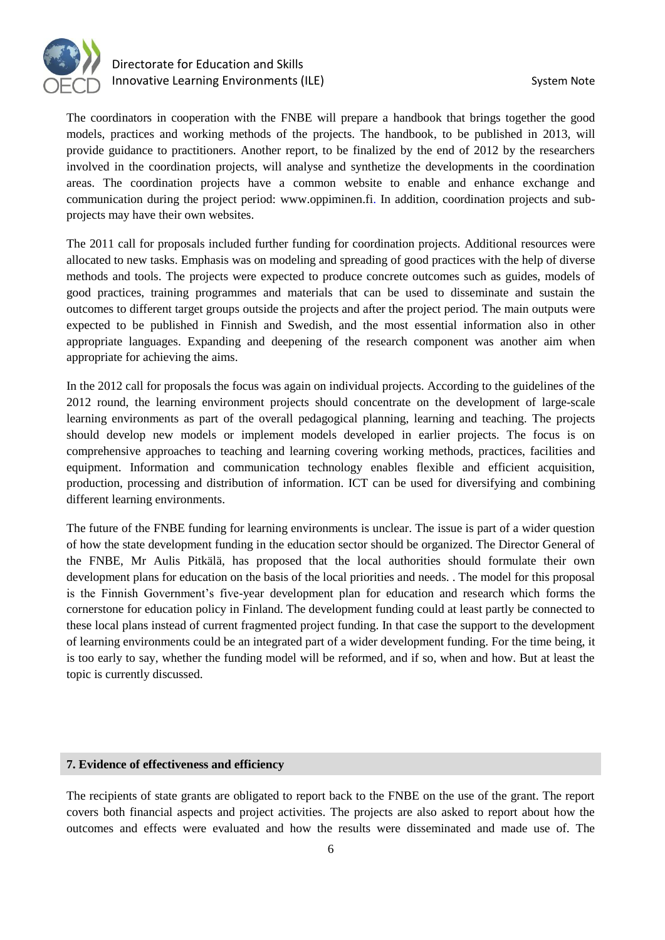

The coordinators in cooperation with the FNBE will prepare a handbook that brings together the good models, practices and working methods of the projects. The handbook, to be published in 2013, will provide guidance to practitioners. Another report, to be finalized by the end of 2012 by the researchers involved in the coordination projects, will analyse and synthetize the developments in the coordination areas. The coordination projects have a common website to enable and enhance exchange and communication during the project period: www.oppiminen.fi. In addition, coordination projects and subprojects may have their own websites.

The 2011 call for proposals included further funding for coordination projects. Additional resources were allocated to new tasks. Emphasis was on modeling and spreading of good practices with the help of diverse methods and tools. The projects were expected to produce concrete outcomes such as guides, models of good practices, training programmes and materials that can be used to disseminate and sustain the outcomes to different target groups outside the projects and after the project period. The main outputs were expected to be published in Finnish and Swedish, and the most essential information also in other appropriate languages. Expanding and deepening of the research component was another aim when appropriate for achieving the aims.

In the 2012 call for proposals the focus was again on individual projects. According to the guidelines of the 2012 round, the learning environment projects should concentrate on the development of large-scale learning environments as part of the overall pedagogical planning, learning and teaching. The projects should develop new models or implement models developed in earlier projects. The focus is on comprehensive approaches to teaching and learning covering working methods, practices, facilities and equipment. Information and communication technology enables flexible and efficient acquisition, production, processing and distribution of information. ICT can be used for diversifying and combining different learning environments.

The future of the FNBE funding for learning environments is unclear. The issue is part of a wider question of how the state development funding in the education sector should be organized. The Director General of the FNBE, Mr Aulis Pitkälä, has proposed that the local authorities should formulate their own development plans for education on the basis of the local priorities and needs. . The model for this proposal is the Finnish Government's five-year development plan for education and research which forms the cornerstone for education policy in Finland. The development funding could at least partly be connected to these local plans instead of current fragmented project funding. In that case the support to the development of learning environments could be an integrated part of a wider development funding. For the time being, it is too early to say, whether the funding model will be reformed, and if so, when and how. But at least the topic is currently discussed.

### **7. Evidence of effectiveness and efficiency**

The recipients of state grants are obligated to report back to the FNBE on the use of the grant. The report covers both financial aspects and project activities. The projects are also asked to report about how the outcomes and effects were evaluated and how the results were disseminated and made use of. The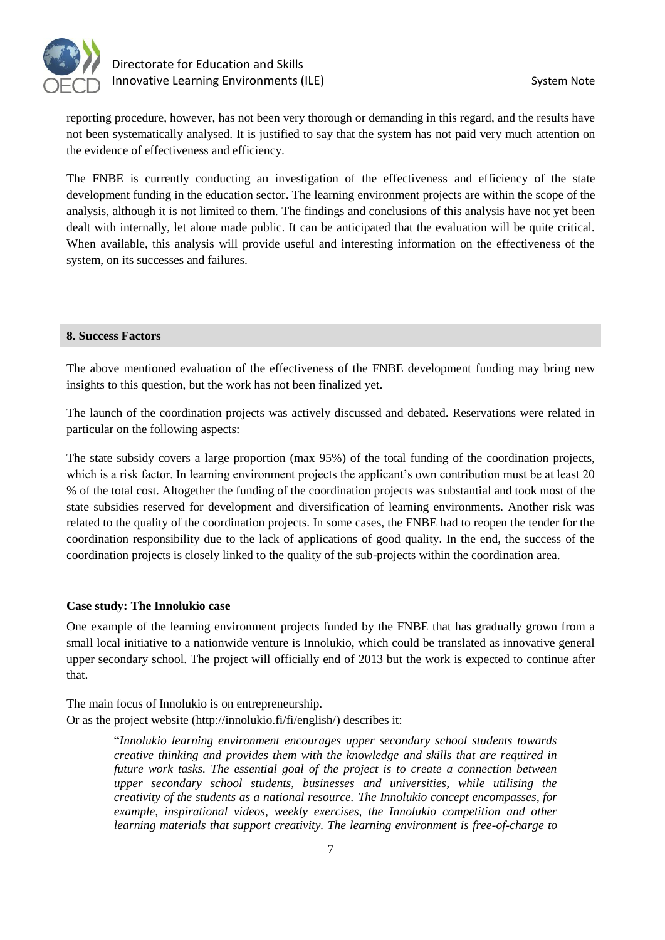

reporting procedure, however, has not been very thorough or demanding in this regard, and the results have not been systematically analysed. It is justified to say that the system has not paid very much attention on the evidence of effectiveness and efficiency.

The FNBE is currently conducting an investigation of the effectiveness and efficiency of the state development funding in the education sector. The learning environment projects are within the scope of the analysis, although it is not limited to them. The findings and conclusions of this analysis have not yet been dealt with internally, let alone made public. It can be anticipated that the evaluation will be quite critical. When available, this analysis will provide useful and interesting information on the effectiveness of the system, on its successes and failures.

## **8. Success Factors**

The above mentioned evaluation of the effectiveness of the FNBE development funding may bring new insights to this question, but the work has not been finalized yet.

The launch of the coordination projects was actively discussed and debated. Reservations were related in particular on the following aspects:

The state subsidy covers a large proportion (max 95%) of the total funding of the coordination projects, which is a risk factor. In learning environment projects the applicant's own contribution must be at least 20 % of the total cost. Altogether the funding of the coordination projects was substantial and took most of the state subsidies reserved for development and diversification of learning environments. Another risk was related to the quality of the coordination projects. In some cases, the FNBE had to reopen the tender for the coordination responsibility due to the lack of applications of good quality. In the end, the success of the coordination projects is closely linked to the quality of the sub-projects within the coordination area.

# **Case study: The Innolukio case**

One example of the learning environment projects funded by the FNBE that has gradually grown from a small local initiative to a nationwide venture is Innolukio, which could be translated as innovative general upper secondary school. The project will officially end of 2013 but the work is expected to continue after that.

The main focus of Innolukio is on entrepreneurship. Or as the project website (http://innolukio.fi/fi/english/) describes it:

> "*Innolukio learning environment encourages upper secondary school students towards creative thinking and provides them with the knowledge and skills that are required in future work tasks. The essential goal of the project is to create a connection between upper secondary school students, businesses and universities, while utilising the creativity of the students as a national resource. The Innolukio concept encompasses, for example, inspirational videos, weekly exercises, the Innolukio competition and other learning materials that support creativity. The learning environment is free-of-charge to*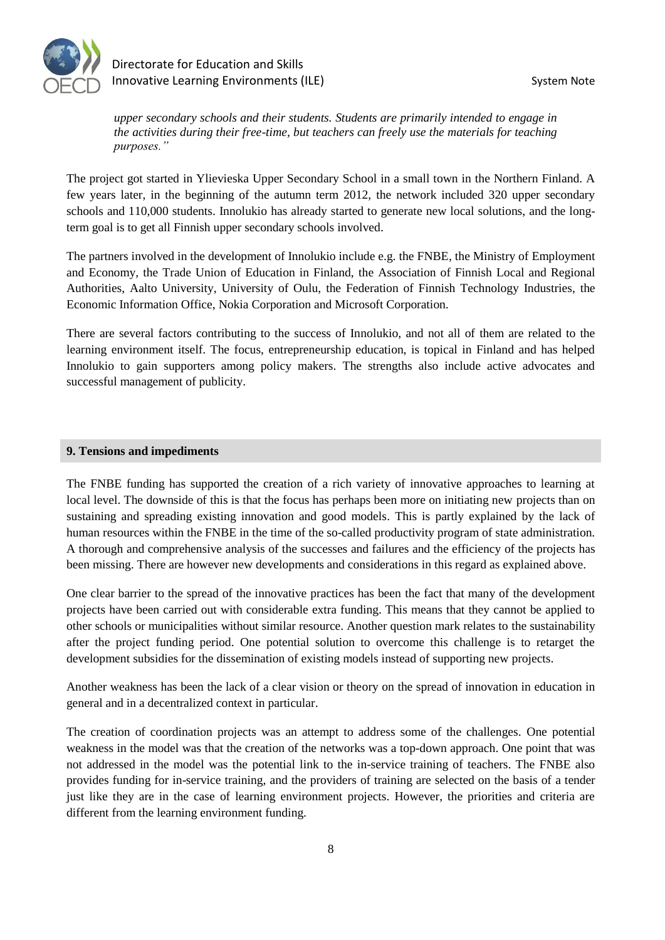

*upper secondary schools and their students. Students are primarily intended to engage in the activities during their free-time, but teachers can freely use the materials for teaching purposes."*

The project got started in Ylievieska Upper Secondary School in a small town in the Northern Finland. A few years later, in the beginning of the autumn term 2012, the network included 320 upper secondary schools and 110,000 students. Innolukio has already started to generate new local solutions, and the longterm goal is to get all Finnish upper secondary schools involved.

The partners involved in the development of Innolukio include e.g. the FNBE, the Ministry of Employment and Economy, the Trade Union of Education in Finland, the Association of Finnish Local and Regional Authorities, Aalto University, University of Oulu, the Federation of Finnish Technology Industries, the Economic Information Office, Nokia Corporation and Microsoft Corporation.

There are several factors contributing to the success of Innolukio, and not all of them are related to the learning environment itself. The focus, entrepreneurship education, is topical in Finland and has helped Innolukio to gain supporters among policy makers. The strengths also include active advocates and successful management of publicity.

#### **9. Tensions and impediments**

The FNBE funding has supported the creation of a rich variety of innovative approaches to learning at local level. The downside of this is that the focus has perhaps been more on initiating new projects than on sustaining and spreading existing innovation and good models. This is partly explained by the lack of human resources within the FNBE in the time of the so-called productivity program of state administration. A thorough and comprehensive analysis of the successes and failures and the efficiency of the projects has been missing. There are however new developments and considerations in this regard as explained above.

One clear barrier to the spread of the innovative practices has been the fact that many of the development projects have been carried out with considerable extra funding. This means that they cannot be applied to other schools or municipalities without similar resource. Another question mark relates to the sustainability after the project funding period. One potential solution to overcome this challenge is to retarget the development subsidies for the dissemination of existing models instead of supporting new projects.

Another weakness has been the lack of a clear vision or theory on the spread of innovation in education in general and in a decentralized context in particular.

The creation of coordination projects was an attempt to address some of the challenges. One potential weakness in the model was that the creation of the networks was a top-down approach. One point that was not addressed in the model was the potential link to the in-service training of teachers. The FNBE also provides funding for in-service training, and the providers of training are selected on the basis of a tender just like they are in the case of learning environment projects. However, the priorities and criteria are different from the learning environment funding.